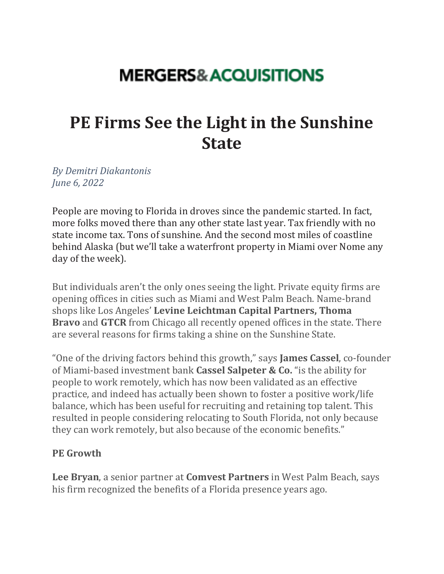# **MERGERS& ACQUISITIONS**

## **PE Firms See the Light in the Sunshine State**

*By Demitri Diakantonis June 6, 2022*

People are moving to Florida in droves since the pandemic started. In fact, more folks moved there than any other state last year. Tax friendly with no state income tax. Tons of sunshine. And the second most miles of coastline behind Alaska (but we'll take a waterfront property in Miami over Nome any day of the week).

But individuals aren't the only ones seeing the light. Private equity firms are opening offices in cities such as Miami and West Palm Beach. Name-brand shops like Los Angeles' **Levine Leichtman Capital Partners, Thoma Bravo** and **GTCR** from Chicago all recently opened offices in the state. There are several reasons for firms taking a shine on the Sunshine State.

"One of the driving factors behind this growth," says **James Cassel**, co-founder of Miami-based investment bank **Cassel Salpeter & Co.** "is the ability for people to work remotely, which has now been validated as an effective practice, and indeed has actually been shown to foster a positive work/life balance, which has been useful for recruiting and retaining top talent. This resulted in people considering relocating to South Florida, not only because they can work remotely, but also because of the economic benefits."

### **PE Growth**

**Lee Bryan**, a senior partner at **Comvest Partners** in West Palm Beach, says his firm recognized the benefits of a Florida presence years ago.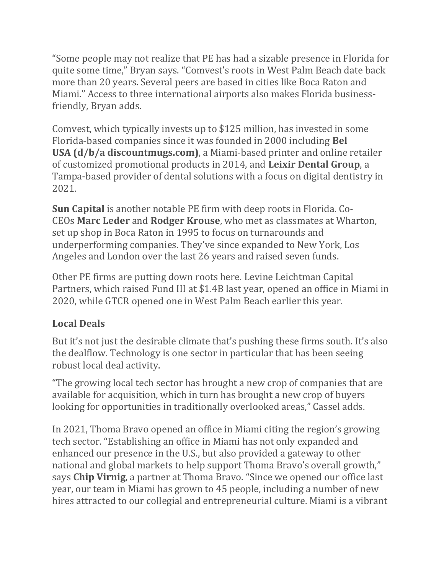"Some people may not realize that PE has had a sizable presence in Florida for quite some time," Bryan says. "Comvest's roots in West Palm Beach date back more than 20 years. Several peers are based in cities like Boca Raton and Miami." Access to three international airports also makes Florida businessfriendly, Bryan adds.

Comvest, which typically invests up to \$125 million, has invested in some Florida-based companies since it was founded in 2000 including **Bel USA (d/b/a discountmugs.com)**, a Miami-based printer and online retailer of customized promotional products in 2014, and **Leixir Dental Group**, a Tampa-based provider of dental solutions with a focus on digital dentistry in 2021.

**Sun Capital** is another notable PE firm with deep roots in Florida. Co-CEOs **Marc Leder** and **Rodger Krouse**, who met as classmates at Wharton, set up shop in Boca Raton in 1995 to focus on turnarounds and underperforming companies. They've since expanded to New York, Los Angeles and London over the last 26 years and raised seven funds.

Other PE firms are putting down roots here. Levine Leichtman Capital Partners, which raised Fund III at \$1.4B last year, opened an office in Miami in 2020, while GTCR opened one in West Palm Beach earlier this year.

### **Local Deals**

But it's not just the desirable climate that's pushing these firms south. It's also the dealflow. Technology is one sector in particular that has been seeing robust local deal activity.

"The growing local tech sector has brought a new crop of companies that are available for acquisition, which in turn has brought a new crop of buyers looking for opportunities in traditionally overlooked areas," Cassel adds.

In 2021, Thoma Bravo opened an office in Miami citing the region's growing tech sector. "Establishing an office in Miami has not only expanded and enhanced our presence in the U.S., but also provided a gateway to other national and global markets to help support Thoma Bravo's overall growth," says **Chip Virnig**, a partner at Thoma Bravo. "Since we opened our office last year, our team in Miami has grown to 45 people, including a number of new hires attracted to our collegial and entrepreneurial culture. Miami is a vibrant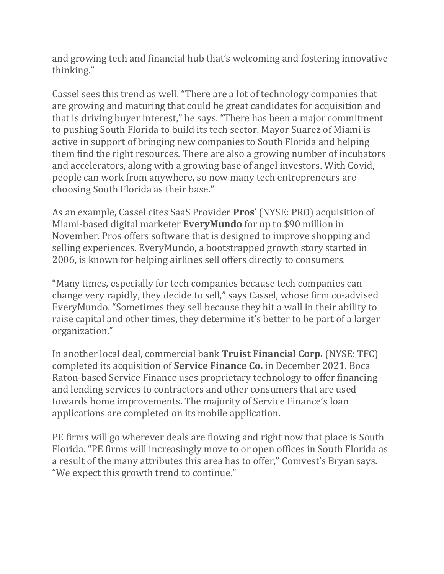and growing tech and financial hub that's welcoming and fostering innovative thinking."

Cassel sees this trend as well. "There are a lot of technology companies that are growing and maturing that could be great candidates for acquisition and that is driving buyer interest," he says. "There has been a major commitment to pushing South Florida to build its tech sector. Mayor Suarez of Miami is active in support of bringing new companies to South Florida and helping them find the right resources. There are also a growing number of incubators and accelerators, along with a growing base of angel investors. With Covid, people can work from anywhere, so now many tech entrepreneurs are choosing South Florida as their base."

As an example, Cassel cites SaaS Provider **Pros**' (NYSE: PRO) acquisition of Miami-based digital marketer **EveryMundo** for up to \$90 million in November. Pros offers software that is designed to improve shopping and selling experiences. EveryMundo, a bootstrapped growth story started in 2006, is known for helping airlines sell offers directly to consumers.

"Many times, especially for tech companies because tech companies can change very rapidly, they decide to sell," says Cassel, whose firm co-advised EveryMundo. "Sometimes they sell because they hit a wall in their ability to raise capital and other times, they determine it's better to be part of a larger organization."

In another local deal, commercial bank **Truist Financial Corp.** (NYSE: TFC) completed its acquisition of **Service Finance Co.** in December 2021. Boca Raton-based Service Finance uses proprietary technology to offer financing and lending services to contractors and other consumers that are used towards home improvements. The majority of Service Finance's loan applications are completed on its mobile application.

PE firms will go wherever deals are flowing and right now that place is South Florida. "PE firms will increasingly move to or open offices in South Florida as a result of the many attributes this area has to offer," Comvest's Bryan says. "We expect this growth trend to continue."